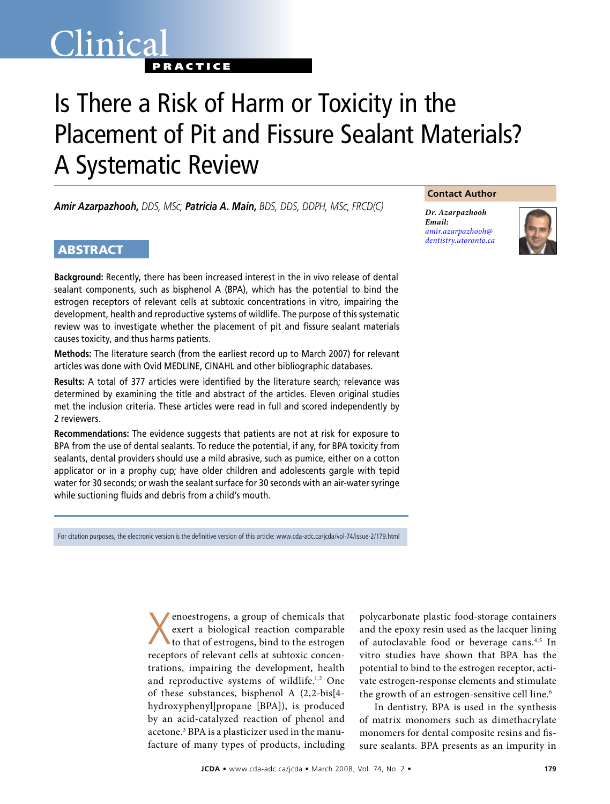## Clinica<sup>®</sup> **PRACTICE**

# Is There a Risk of Harm or Toxicity in the Placement of Pit and Fissure Sealant Materials? A Systematic Review

*Amir Azarpazhooh, DDS, MSc; Patricia A. Main, BDS, DDS, DDPH, MSc, FRCD(C)*

### **ABSTRACT**

**Background:** Recently, there has been increased interest in the in vivo release of dental sealant components, such as bisphenol A (BPA), which has the potential to bind the estrogen receptors of relevant cells at subtoxic concentrations in vitro, impairing the development, health and reproductive systems of wildlife. The purpose of this systematic review was to investigate whether the placement of pit and fissure sealant materials causes toxicity, and thus harms patients.

**Methods:** The literature search (from the earliest record up to March 2007) for relevant articles was done with Ovid MEDLINE, CINAHL and other bibliographic databases.

**Results:** A total of 377 articles were identified by the literature search; relevance was determined by examining the title and abstract of the articles. Eleven original studies met the inclusion criteria. These articles were read in full and scored independently by 2 reviewers.

**Recommendations:** The evidence suggests that patients are not at risk for exposure to BPA from the use of dental sealants. To reduce the potential, if any, for BPA toxicity from sealants, dental providers should use a mild abrasive, such as pumice, either on a cotton applicator or in a prophy cup; have older children and adolescents gargle with tepid water for 30 seconds; or wash the sealant surface for 30 seconds with an air-water syringe while suctioning fluids and debris from a child's mouth.

For citation purposes, the electronic version is the definitive version of this article: www.cda-adc.ca/jcda/vol-74/issue-2/179.html

X enoestrogens, a group of chemicals that exert a biological reaction comparable to that of estrogens, bind to the estrogen receptors of relevant cells at subtoxic concentrations, impairing the development, health and reproductive systems of wildlife.<sup>1,2</sup> One of these substances, bisphenol A (2,2-bis[4 hydroxyphenyl]propane [BPA]), is produced by an acid-catalyzed reaction of phenol and acetone.3 BPA is a plasticizer used in the manufacture of many types of products, including

polycarbonate plastic food-storage containers and the epoxy resin used as the lacquer lining of autoclavable food or beverage cans.<sup>4,5</sup> In vitro studies have shown that BPA has the potential to bind to the estrogen receptor, activate estrogen-response elements and stimulate the growth of an estrogen-sensitive cell line.<sup>6</sup>

In dentistry, BPA is used in the synthesis of matrix monomers such as dimethacrylate monomers for dental composite resins and fissure sealants. BPA presents as an impurity in

#### **Contact Author**

*Dr. Azarpazhooh Email: amir.azarpazhooh@ [dentistry.utoronto.ca](mailto:amir.azarpazhooh@dentistry.utoronto.ca)*

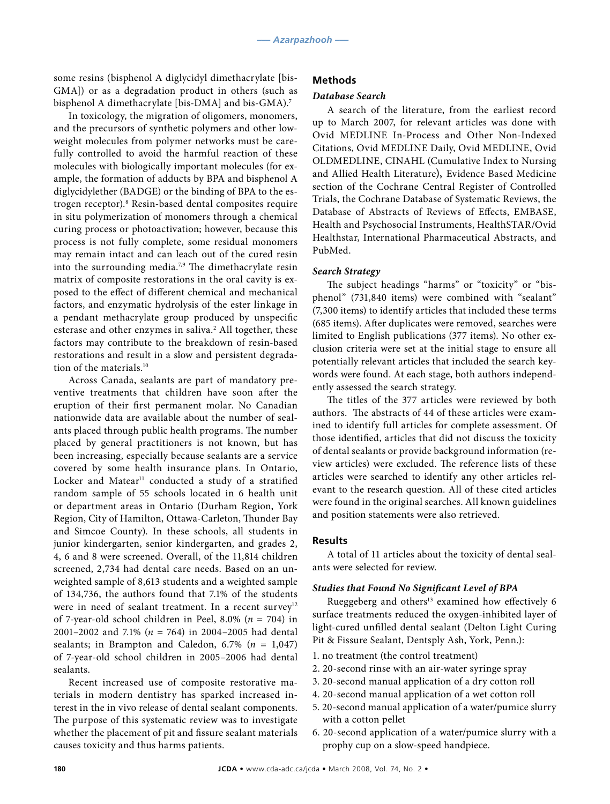some resins (bisphenol A diglycidyl dimethacrylate [bis-GMA]) or as a degradation product in others (such as bisphenol A dimethacrylate [bis-DMA] and bis-GMA).<sup>7</sup>

In toxicology, the migration of oligomers, monomers, and the precursors of synthetic polymers and other lowweight molecules from polymer networks must be carefully controlled to avoid the harmful reaction of these molecules with biologically important molecules (for example, the formation of adducts by BPA and bisphenol A diglycidylether (BADGE) or the binding of BPA to the estrogen receptor).8 Resin-based dental composites require in situ polymerization of monomers through a chemical curing process or photoactivation; however, because this process is not fully complete, some residual monomers may remain intact and can leach out of the cured resin into the surrounding media.<sup>7,9</sup> The dimethacrylate resin matrix of composite restorations in the oral cavity is exposed to the effect of different chemical and mechanical factors, and enzymatic hydrolysis of the ester linkage in a pendant methacrylate group produced by unspecific esterase and other enzymes in saliva.<sup>2</sup> All together, these factors may contribute to the breakdown of resin-based restorations and result in a slow and persistent degradation of the materials.10

Across Canada, sealants are part of mandatory preventive treatments that children have soon after the eruption of their first permanent molar. No Canadian nationwide data are available about the number of sealants placed through public health programs. The number placed by general practitioners is not known, but has been increasing, especially because sealants are a service covered by some health insurance plans. In Ontario, Locker and Matear<sup>11</sup> conducted a study of a stratified random sample of 55 schools located in 6 health unit or department areas in Ontario (Durham Region, York Region, City of Hamilton, Ottawa-Carleton, Thunder Bay and Simcoe County). In these schools, all students in junior kindergarten, senior kindergarten, and grades 2, 4, 6 and 8 were screened. Overall, of the 11,814 children screened, 2,734 had dental care needs. Based on an unweighted sample of 8,613 students and a weighted sample of 134,736, the authors found that 7.1% of the students were in need of sealant treatment. In a recent survey<sup>12</sup> of 7-year-old school children in Peel, 8.0% (*n* = 704) in 2001–2002 and 7.1% (*n* = 764) in 2004–2005 had dental sealants; in Brampton and Caledon, 6.7% (*n* = 1,047) of 7-year-old school children in 2005–2006 had dental sealants.

Recent increased use of composite restorative materials in modern dentistry has sparked increased interest in the in vivo release of dental sealant components. The purpose of this systematic review was to investigate whether the placement of pit and fissure sealant materials causes toxicity and thus harms patients.

#### **Methods**

#### *Database Search*

A search of the literature, from the earliest record up to March 2007, for relevant articles was done with Ovid MEDLINE In-Process and Other Non-Indexed Citations, Ovid MEDLINE Daily, Ovid MEDLINE, Ovid OLDMEDLINE, CINAHL (Cumulative Index to Nursing and Allied Health Literature), Evidence Based Medicine section of the Cochrane Central Register of Controlled Trials, the Cochrane Database of Systematic Reviews, the Database of Abstracts of Reviews of Effects, EMBASE, Health and Psychosocial Instruments, HealthSTAR/Ovid Healthstar, International Pharmaceutical Abstracts, and PubMed.

#### *Search Strategy*

The subject headings "harms" or "toxicity" or "bisphenol" (731,840 items) were combined with "sealant" (7,300 items) to identify articles that included these terms (685 items). After duplicates were removed, searches were limited to English publications (377 items). No other exclusion criteria were set at the initial stage to ensure all potentially relevant articles that included the search keywords were found. At each stage, both authors independently assessed the search strategy.

The titles of the 377 articles were reviewed by both authors. The abstracts of 44 of these articles were examined to identify full articles for complete assessment. Of those identified, articles that did not discuss the toxicity of dental sealants or provide background information (review articles) were excluded. The reference lists of these articles were searched to identify any other articles relevant to the research question. All of these cited articles were found in the original searches. All known guidelines and position statements were also retrieved.

#### **Results**

A total of 11 articles about the toxicity of dental sealants were selected for review.

#### *Studies that Found No Significant Level of BPA*

Rueggeberg and others<sup>13</sup> examined how effectively 6 surface treatments reduced the oxygen-inhibited layer of light-cured unfilled dental sealant (Delton Light Curing Pit & Fissure Sealant, Dentsply Ash, York, Penn.):

- 1. no treatment (the control treatment)
- 2. 20-second rinse with an air-water syringe spray
- 3. 20-second manual application of a dry cotton roll
- 4. 20-second manual application of a wet cotton roll
- 5. 20-second manual application of a water/pumice slurry with a cotton pellet
- 6. 20-second application of a water/pumice slurry with a prophy cup on a slow-speed handpiece.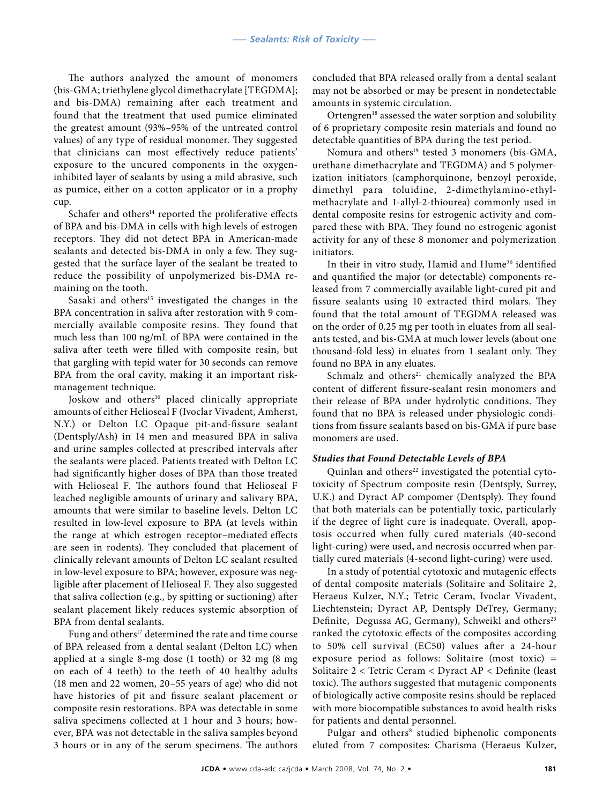The authors analyzed the amount of monomers (bis-GMA; triethylene glycol dimethacrylate [TEGDMA]; and bis-DMA) remaining after each treatment and found that the treatment that used pumice eliminated the greatest amount (93%–95% of the untreated control values) of any type of residual monomer. They suggested that clinicians can most effectively reduce patients' exposure to the uncured components in the oxygeninhibited layer of sealants by using a mild abrasive, such as pumice, either on a cotton applicator or in a prophy cup.

Schafer and others $14$  reported the proliferative effects of BPA and bis-DMA in cells with high levels of estrogen receptors. They did not detect BPA in American-made sealants and detected bis-DMA in only a few. They suggested that the surface layer of the sealant be treated to reduce the possibility of unpolymerized bis-DMA remaining on the tooth.

Sasaki and others<sup>15</sup> investigated the changes in the BPA concentration in saliva after restoration with 9 commercially available composite resins. They found that much less than 100 ng/mL of BPA were contained in the saliva after teeth were filled with composite resin, but that gargling with tepid water for 30 seconds can remove BPA from the oral cavity, making it an important riskmanagement technique.

Joskow and others<sup>16</sup> placed clinically appropriate amounts of either Helioseal F (Ivoclar Vivadent, Amherst, N.Y.) or Delton LC Opaque pit-and-fissure sealant (Dentsply/Ash) in 14 men and measured BPA in saliva and urine samples collected at prescribed intervals after the sealants were placed. Patients treated with Delton LC had significantly higher doses of BPA than those treated with Helioseal F. The authors found that Helioseal F leached negligible amounts of urinary and salivary BPA, amounts that were similar to baseline levels. Delton LC resulted in low-level exposure to BPA (at levels within the range at which estrogen receptor–mediated effects are seen in rodents). They concluded that placement of clinically relevant amounts of Delton LC sealant resulted in low-level exposure to BPA; however, exposure was negligible after placement of Helioseal F. They also suggested that saliva collection (e.g., by spitting or suctioning) after sealant placement likely reduces systemic absorption of BPA from dental sealants.

Fung and others<sup>17</sup> determined the rate and time course of BPA released from a dental sealant (Delton LC) when applied at a single 8-mg dose (1 tooth) or 32 mg (8 mg on each of 4 teeth) to the teeth of 40 healthy adults (18 men and 22 women, 20–55 years of age) who did not have histories of pit and fissure sealant placement or composite resin restorations. BPA was detectable in some saliva specimens collected at 1 hour and 3 hours; however, BPA was not detectable in the saliva samples beyond 3 hours or in any of the serum specimens. The authors

concluded that BPA released orally from a dental sealant may not be absorbed or may be present in nondetectable amounts in systemic circulation.

Ortengren<sup>18</sup> assessed the water sorption and solubility of 6 proprietary composite resin materials and found no detectable quantities of BPA during the test period.

Nomura and others<sup>19</sup> tested 3 monomers (bis-GMA, urethane dimethacrylate and TEGDMA) and 5 polymerization initiators (camphorquinone, benzoyl peroxide, dimethyl para toluidine, 2-dimethylamino-ethylmethacrylate and 1-allyl-2-thiourea) commonly used in dental composite resins for estrogenic activity and compared these with BPA. They found no estrogenic agonist activity for any of these 8 monomer and polymerization initiators.

In their in vitro study, Hamid and Hume<sup>20</sup> identified and quantified the major (or detectable) components released from 7 commercially available light-cured pit and fissure sealants using 10 extracted third molars. They found that the total amount of TEGDMA released was on the order of 0.25 mg per tooth in eluates from all sealants tested, and bis-GMA at much lower levels (about one thousand-fold less) in eluates from 1 sealant only. They found no BPA in any eluates.

Schmalz and others<sup>21</sup> chemically analyzed the BPA content of different fissure-sealant resin monomers and their release of BPA under hydrolytic conditions. They found that no BPA is released under physiologic conditions from fissure sealants based on bis-GMA if pure base monomers are used.

#### *Studies that Found Detectable Levels of BPA*

Quinlan and others<sup>22</sup> investigated the potential cytotoxicity of Spectrum composite resin (Dentsply, Surrey, U.K.) and Dyract AP compomer (Dentsply). They found that both materials can be potentially toxic, particularly if the degree of light cure is inadequate. Overall, apoptosis occurred when fully cured materials (40-second light-curing) were used, and necrosis occurred when partially cured materials (4-second light-curing) were used.

In a study of potential cytotoxic and mutagenic effects of dental composite materials (Solitaire and Solitaire 2, Heraeus Kulzer, N.Y.; Tetric Ceram, Ivoclar Vivadent, Liechtenstein; Dyract AP, Dentsply DeTrey, Germany; Definite, Degussa AG, Germany), Schweikl and others<sup>23</sup> ranked the cytotoxic effects of the composites according to 50% cell survival (EC50) values after a 24-hour exposure period as follows: Solitaire (most toxic) = Solitaire 2 < Tetric Ceram < Dyract AP < Definite (least toxic). The authors suggested that mutagenic components of biologically active composite resins should be replaced with more biocompatible substances to avoid health risks for patients and dental personnel.

Pulgar and others<sup>8</sup> studied biphenolic components eluted from 7 composites: Charisma (Heraeus Kulzer,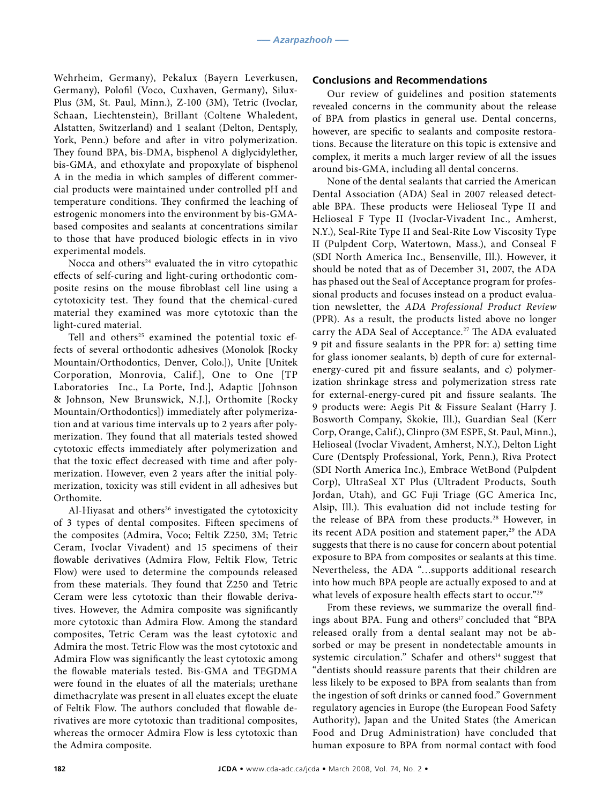Wehrheim, Germany), Pekalux (Bayern Leverkusen, Germany), Polofil (Voco, Cuxhaven, Germany), Silux-Plus (3M, St. Paul, Minn.), Z-100 (3M), Tetric (Ivoclar, Schaan, Liechtenstein), Brillant (Coltene Whaledent, Alstatten, Switzerland) and 1 sealant (Delton, Dentsply, York, Penn.) before and after in vitro polymerization. They found BPA, bis-DMA, bisphenol A diglycidylether, bis-GMA, and ethoxylate and propoxylate of bisphenol A in the media in which samples of different commercial products were maintained under controlled pH and temperature conditions. They confirmed the leaching of estrogenic monomers into the environment by bis-GMAbased composites and sealants at concentrations similar to those that have produced biologic effects in in vivo experimental models.

Nocca and others $24$  evaluated the in vitro cytopathic effects of self-curing and light-curing orthodontic composite resins on the mouse fibroblast cell line using a cytotoxicity test. They found that the chemical-cured material they examined was more cytotoxic than the light-cured material.

Tell and others<sup>25</sup> examined the potential toxic effects of several orthodontic adhesives (Monolok [Rocky Mountain/Orthodontics, Denver, Colo.]), Unite [Unitek Corporation, Monrovia, Calif.], One to One [TP Laboratories Inc., La Porte, Ind.], Adaptic [Johnson & Johnson, New Brunswick, N.J.], Orthomite [Rocky Mountain/Orthodontics]) immediately after polymerization and at various time intervals up to 2 years after polymerization. They found that all materials tested showed cytotoxic effects immediately after polymerization and that the toxic effect decreased with time and after polymerization. However, even 2 years after the initial polymerization, toxicity was still evident in all adhesives but Orthomite.

Al-Hiyasat and others<sup>26</sup> investigated the cytotoxicity of 3 types of dental composites. Fifteen specimens of the composites (Admira, Voco; Feltik Z250, 3M; Tetric Ceram, Ivoclar Vivadent) and 15 specimens of their flowable derivatives (Admira Flow, Feltik Flow, Tetric Flow) were used to determine the compounds released from these materials. They found that Z250 and Tetric Ceram were less cytotoxic than their flowable derivatives. However, the Admira composite was significantly more cytotoxic than Admira Flow. Among the standard composites, Tetric Ceram was the least cytotoxic and Admira the most. Tetric Flow was the most cytotoxic and Admira Flow was significantly the least cytotoxic among the flowable materials tested. Bis-GMA and TEGDMA were found in the eluates of all the materials; urethane dimethacrylate was present in all eluates except the eluate of Feltik Flow. The authors concluded that flowable derivatives are more cytotoxic than traditional composites, whereas the ormocer Admira Flow is less cytotoxic than the Admira composite.

#### **Conclusions and Recommendations**

Our review of guidelines and position statements revealed concerns in the community about the release of BPA from plastics in general use. Dental concerns, however, are specific to sealants and composite restorations. Because the literature on this topic is extensive and complex, it merits a much larger review of all the issues around bis-GMA, including all dental concerns.

None of the dental sealants that carried the American Dental Association (ADA) Seal in 2007 released detectable BPA. These products were Helioseal Type II and Helioseal F Type II (Ivoclar-Vivadent Inc., Amherst, N.Y.), Seal-Rite Type II and Seal-Rite Low Viscosity Type II (Pulpdent Corp, Watertown, Mass.), and Conseal F (SDI North America Inc., Bensenville, Ill.). However, it should be noted that as of December 31, 2007, the ADA has phased out the Seal of Acceptance program for professional products and focuses instead on a product evaluation newsletter, the *ADA Professional Product Review*  (PPR). As a result, the products listed above no longer carry the ADA Seal of Acceptance.<sup>27</sup> The ADA evaluated 9 pit and fissure sealants in the PPR for: a) setting time for glass ionomer sealants, b) depth of cure for externalenergy-cured pit and fissure sealants, and c) polymerization shrinkage stress and polymerization stress rate for external-energy-cured pit and fissure sealants. The 9 products were: Aegis Pit & Fissure Sealant (Harry J. Bosworth Company, Skokie, Ill.), Guardian Seal (Kerr Corp, Orange, Calif.), Clinpro (3M ESPE, St. Paul, Minn.), Helioseal (Ivoclar Vivadent, Amherst, N.Y.), Delton Light Cure (Dentsply Professional, York, Penn.), Riva Protect (SDI North America Inc.), Embrace WetBond (Pulpdent Corp), UltraSeal XT Plus (Ultradent Products, South Jordan, Utah), and GC Fuji Triage (GC America Inc, Alsip, Ill.). This evaluation did not include testing for the release of BPA from these products.28 However, in its recent ADA position and statement paper, $29$  the ADA suggests that there is no cause for concern about potential exposure to BPA from composites or sealants at this time. Nevertheless, the ADA "…supports additional research into how much BPA people are actually exposed to and at what levels of exposure health effects start to occur."<sup>29</sup>

From these reviews, we summarize the overall findings about BPA. Fung and others<sup>17</sup> concluded that "BPA released orally from a dental sealant may not be absorbed or may be present in nondetectable amounts in systemic circulation." Schafer and others<sup>14</sup> suggest that "dentists should reassure parents that their children are less likely to be exposed to BPA from sealants than from the ingestion of soft drinks or canned food." Government regulatory agencies in Europe (the European Food Safety Authority), Japan and the United States (the American Food and Drug Administration) have concluded that human exposure to BPA from normal contact with food